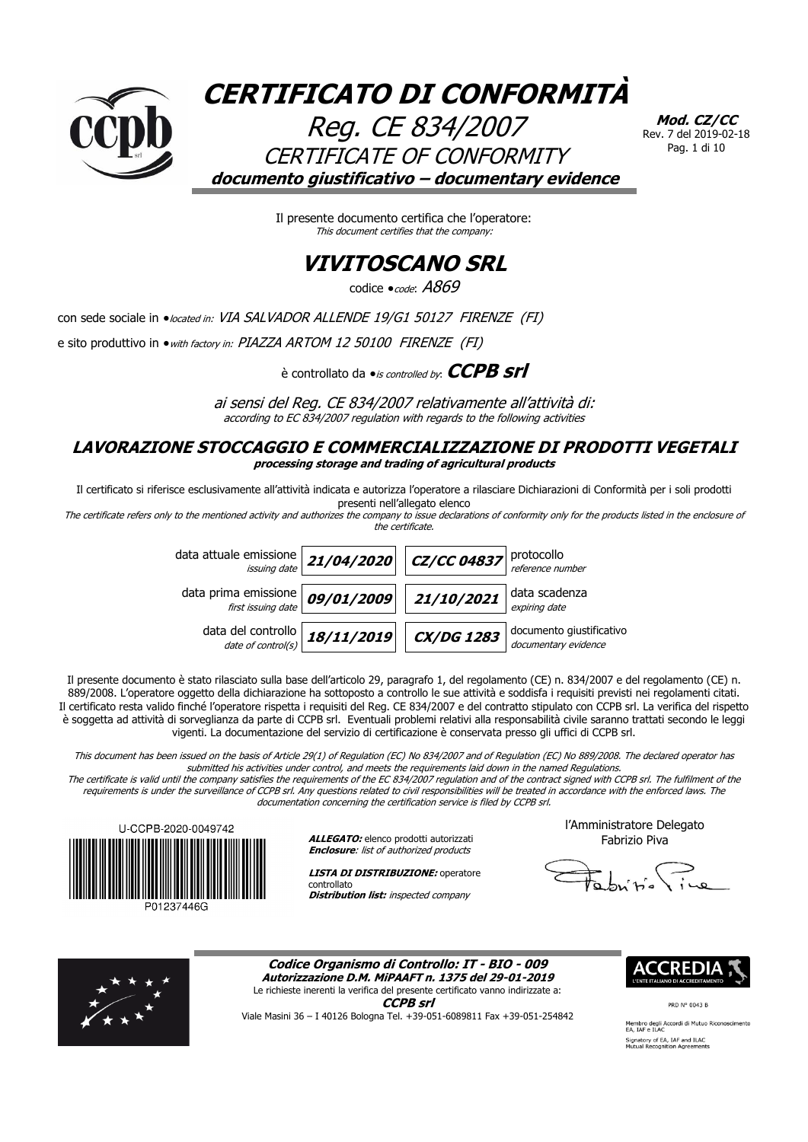

**Mod. CZ/CC** Rev. 7 del 2019-02-18 Pag. 1 di 10

Il presente documento certifica che l'operatore: This document certifies that the company:

### **VIVITOSCANO SRL**

codice  $\bullet$ code:  $A869$ 

con sede sociale in · located in: VIA SALVADOR ALLENDE 19/G1 50127 FIRENZE (FI)

e sito produttivo in  $\bullet$  with factory in: PIAZZA ARTOM 12 50100 FIRENZE (FI)

è controllato da  $\bullet$ *is controlled by*: **CCPB srl** 

ai sensi del Reg. CE 834/2007 relativamente all'attività di: according to EC 834/2007 regulation with regards to the following activities

### **LAVORAZIONE STOCCAGGIO E COMMERCIALIZZAZIONE DI PRODOTTI VEGETALI processing storage and trading of agricultural products**

Il certificato si riferisce esclusivamente all'attività indicata e autorizza l'operatore a rilasciare Dichiarazioni di Conformità per i soli prodotti presenti nell'allegato elenco

The certificate refers only to the mentioned activity and authorizes the company to issue declarations of conformity only for the products listed in the enclosure of the certificate.

| data attuale emissione $\left  21/04/2020 \right  \left  27/CC 04837 \right $ protocollo |            |                   |                                                  |
|------------------------------------------------------------------------------------------|------------|-------------------|--------------------------------------------------|
| data prima emissione $\frac{1}{\frac{first}{\sqrt{3}}}}$ 09/01/2009 21/10/2021           |            |                   | data scadenza<br>expiring date                   |
| data del controllo $\frac{date}{date\ of\ control(s)}$                                   | 18/11/2019 | $\alpha$ /DG 1283 | documento giustificativo<br>documentary evidence |

Il presente documento è stato rilasciato sulla base dell'articolo 29, paragrafo 1, del regolamento (CE) n. 834/2007 e del regolamento (CE) n. 889/2008. L'operatore oggetto della dichiarazione ha sottoposto a controllo le sue attività e soddisfa i requisiti previsti nei regolamenti citati. Il certificato resta valido finché l'operatore rispetta i requisiti del Reg. CE 834/2007 e del contratto stipulato con CCPB srl. La verifica del rispetto è soggetta ad attività di sorveglianza da parte di CCPB srl. Eventuali problemi relativi alla responsabilità civile saranno trattati secondo le leggi vigenti. La documentazione del servizio di certificazione è conservata presso gli uffici di CCPB srl.

This document has been issued on the basis of Article 29(1) of Regulation (EC) No 834/2007 and of Regulation (EC) No 889/2008. The declared operator has submitted his activities under control, and meets the requirements laid down in the named Regulations.

The certificate is valid until the company satisfies the requirements of the EC 834/2007 regulation and of the contract signed with CCPB srl. The fulfilment of the requirements is under the surveillance of CCPB srl. Any questions related to civil responsibilities will be treated in accordance with the enforced laws. The documentation concerning the certification service is filed by CCPB srl.



**ALLEGATO:** elenco prodotti autorizzati **Enclosure:** list of authorized products

**LISTA DI DISTRIBUZIONE:** operatore controllato **Distribution list:** inspected company

l'Amministratore Delegato Fabrizio Piva



**Codice Organismo di Controllo: IT - BIO - 009 Autorizzazione D.M. MiPAAFT n. 1375 del 29-01-2019**

Le richieste inerenti la verifica del presente certificato vanno indirizzate a: **CCPB srl**

Viale Masini 36 – I 40126 Bologna Tel. +39-051-6089811 Fax +39-051-254842

PRD N° 0043 B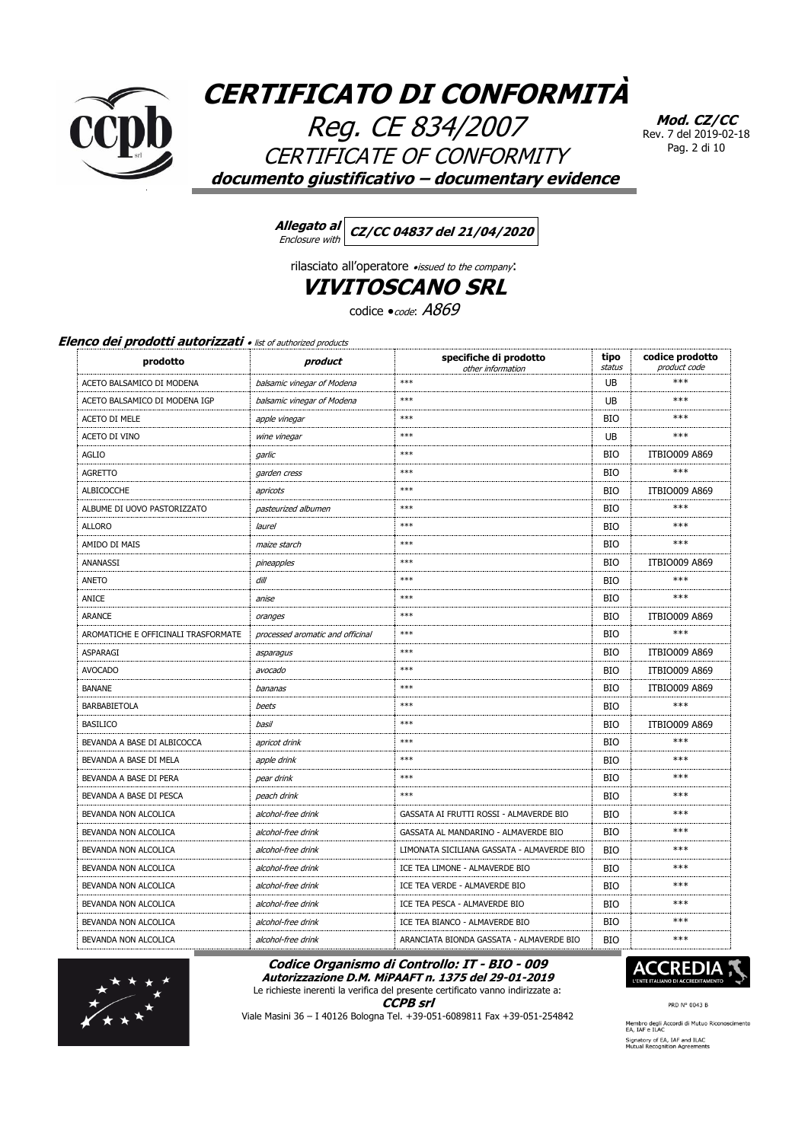

Reg. CE 834/2007 CERTIFICATE OF CONFORMITY documento giustificativo - documentary evidence

Mod. CZ/CC Rev. 7 del 2019-02-18 Pag. 2 di 10

Allegato al CZ/CC 04837 del 21/04/2020 Enclosure with

rilasciato all'operatore «issued to the company: **VIVITOSCANO SRL** 

codice *code*: A869

### Elenco dei prodotti autorizzati · list of authorized products

| prodotto                            | product                          | specifiche di prodotto<br>other information | tipo<br>status | codice prodotto<br>product code |
|-------------------------------------|----------------------------------|---------------------------------------------|----------------|---------------------------------|
| ACETO BALSAMICO DI MODENA           | balsamic vinegar of Modena       | $***$                                       | UB             | ***                             |
| ACETO BALSAMICO DI MODENA IGP       | balsamic vinegar of Modena       | $***$                                       | UB             | ***                             |
| <b>ACETO DI MELE</b>                | apple vinegar                    | $***$                                       | <b>BIO</b>     | ***                             |
| ACETO DI VINO                       | wine vinegar                     | $***$                                       | UB             | ***                             |
| <b>AGLIO</b>                        | garlic                           | $***$                                       | <b>BIO</b>     | <b>ITBIO009 A869</b>            |
| <b>AGRETTO</b>                      | garden cress                     | $***$                                       | <b>BIO</b>     | $***$                           |
| <b>ALBICOCCHE</b>                   | apricots                         | $***$                                       | <b>BIO</b>     | <b>ITBIO009 A869</b>            |
| ALBUME DI UOVO PASTORIZZATO         | pasteurized albumen              | $***$                                       | <b>BIO</b>     | ***                             |
| <b>ALLORO</b>                       | laurel                           | $***$                                       | <b>BIO</b>     | ***                             |
| AMIDO DI MAIS                       | maize starch                     | $***$                                       | <b>BIO</b>     | $***$                           |
| ANANASSI                            | pineapples                       | $***$                                       | <b>BIO</b>     | <b>ITBIO009 A869</b>            |
| ANETO                               | dill                             | $***$                                       | <b>BIO</b>     | ***                             |
| ANICE                               | anise                            | $***$                                       | <b>BIO</b>     | ***                             |
| <b>ARANCE</b>                       | oranges                          | $***$                                       | <b>BIO</b>     | <b>ITBIO009 A869</b>            |
| AROMATICHE E OFFICINALI TRASFORMATE | processed aromatic and officinal | $***$                                       | <b>BIO</b>     | $***$                           |
| ASPARAGI                            | asparagus                        | $***$                                       | <b>BIO</b>     | <b>ITBIO009 A869</b>            |
| <b>AVOCADO</b>                      | avocado                          | $***$                                       | <b>BIO</b>     | <b>ITBIO009 A869</b>            |
| <b>BANANE</b>                       | bananas                          | $***$                                       | <b>BIO</b>     | <b>ITBIO009 A869</b>            |
| <b>BARBABIETOLA</b>                 | beets                            | $***$                                       | <b>BIO</b>     | $***$                           |
| <b>BASILICO</b>                     | basil                            | $***$                                       | <b>BIO</b>     | <b>ITBIO009 A869</b>            |
| BEVANDA A BASE DI ALBICOCCA         | apricot drink                    | $***$                                       | <b>BIO</b>     | ***                             |
| BEVANDA A BASE DI MELA              | apple drink                      | $***$                                       | <b>BIO</b>     | ***                             |
| BEVANDA A BASE DI PERA              | pear drink                       | $***$                                       | <b>BIO</b>     | ***                             |
| BEVANDA A BASE DI PESCA             | peach drink                      | $***$                                       | <b>BIO</b>     | ***                             |
| BEVANDA NON ALCOLICA                | alcohol-free drink               | GASSATA AI FRUTTI ROSSI - ALMAVERDE BIO     | <b>BIO</b>     | ***                             |
| BEVANDA NON ALCOLICA                | alcohol-free drink               | GASSATA AL MANDARINO - ALMAVERDE BIO        | <b>BIO</b>     | ***                             |
| BEVANDA NON ALCOLICA                | alcohol-free drink               | LIMONATA SICILIANA GASSATA - ALMAVERDE BIO  | <b>BIO</b>     | $***$                           |
| BEVANDA NON ALCOLICA                | alcohol-free drink               | ICE TEA LIMONE - ALMAVERDE BIO              | <b>BIO</b>     | ***                             |
| BEVANDA NON ALCOLICA                | alcohol-free drink               | ICE TEA VERDE - ALMAVERDE BIO               | <b>BIO</b>     | ***                             |
| BEVANDA NON ALCOLICA                | alcohol-free drink               | ICE TEA PESCA - ALMAVERDE BIO               | <b>BIO</b>     | ***                             |
| BEVANDA NON ALCOLICA                | alcohol-free drink               | ICE TEA BIANCO - ALMAVERDE BIO              | <b>BIO</b>     | $***$                           |
| BEVANDA NON ALCOLICA                | alcohol-free drink               | ARANCIATA BIONDA GASSATA - ALMAVERDE BIO    | <b>BIO</b>     | $***$                           |

Codice Organismo di Controllo: IT - BIO - 009 Autorizzazione D.M. MiPAAFT n. 1375 del 29-01-2019

Le richieste inerenti la verifica del presente certificato vanno indirizzate a:



Viale Masini 36 - I 40126 Bologna Tel. +39-051-6089811 Fax +39-051-254842



PRD N° 0043 B

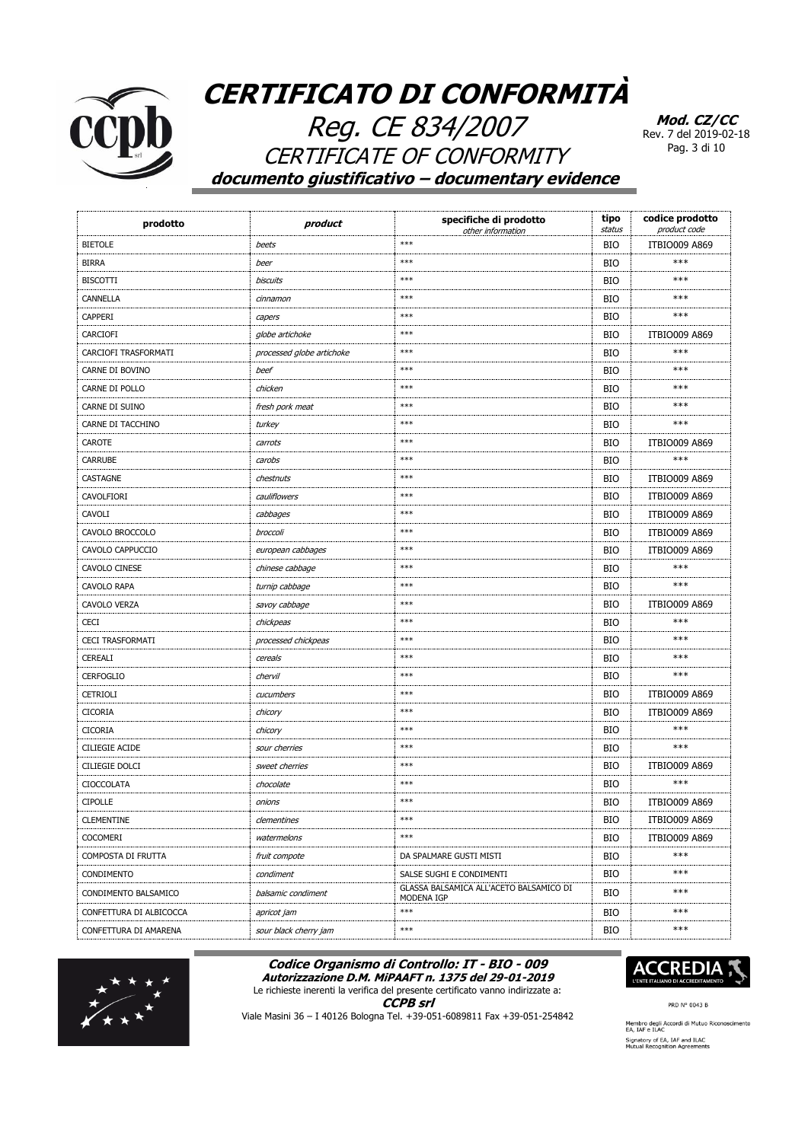

Reg. CE 834/2007 CERTIFICATE OF CONFORMITY **documento giustificativo – documentary evidence**

**Mod. CZ/CC** Rev. 7 del 2019-02-18 Pag. 3 di 10

| prodotto                | product                   | specifiche di prodotto<br>other information           | tipo<br>status | codice prodotto<br>product code |
|-------------------------|---------------------------|-------------------------------------------------------|----------------|---------------------------------|
| <b>BIETOLE</b>          | beets                     | $***$                                                 | <b>BIO</b>     | <b>ITBIO009 A869</b>            |
| <b>BIRRA</b>            | beer                      | $***$                                                 | <b>BIO</b>     | ***                             |
| <b>BISCOTTI</b>         | <b>biscuits</b>           | $***$                                                 | <b>BIO</b>     | ***                             |
| CANNELLA                | cinnamon                  | $***$                                                 | <b>BIO</b>     | ***                             |
| <b>CAPPERI</b>          | capers                    | $***$                                                 | <b>BIO</b>     | ***                             |
| CARCIOFI                | globe artichoke           | $***$                                                 | <b>BIO</b>     | <b>ITBIO009 A869</b>            |
| CARCIOFI TRASFORMATI    | processed globe artichoke | $***$                                                 | <b>BIO</b>     | ***                             |
| CARNE DI BOVINO         | beef                      | $***$                                                 | <b>BIO</b>     | ***                             |
| CARNE DI POLLO          | chicken                   | $***$                                                 | <b>BIO</b>     | ***                             |
| CARNE DI SUINO          | fresh pork meat           | $***$                                                 | <b>BIO</b>     | ***                             |
| CARNE DI TACCHINO       | turkey                    | $***$                                                 | <b>BIO</b>     | ***                             |
| CAROTE                  | carrots                   | $***$                                                 | <b>BIO</b>     | <b>ITBIO009 A869</b>            |
| <b>CARRUBE</b>          | carobs                    | $***$                                                 | <b>BIO</b>     | ***                             |
| CASTAGNE                | chestnuts                 | $***$                                                 | <b>BIO</b>     | <b>ITBIO009 A869</b>            |
| CAVOLFIORI              | cauliflowers              | $***$                                                 | <b>BIO</b>     | <b>ITBIO009 A869</b>            |
| CAVOLI                  | cabbages                  | $***$                                                 | <b>BIO</b>     | <b>ITBIO009 A869</b>            |
| CAVOLO BROCCOLO         | broccoli                  | $***$                                                 | <b>BIO</b>     | <b>ITBIO009 A869</b>            |
| CAVOLO CAPPUCCIO        | european cabbages         | ***                                                   | <b>BIO</b>     | <b>ITBIO009 A869</b>            |
| CAVOLO CINESE           | chinese cabbage           | $***$                                                 | <b>BIO</b>     | ***                             |
| CAVOLO RAPA             | turnip cabbage            | $***$                                                 | <b>BIO</b>     | ***                             |
| <b>CAVOLO VERZA</b>     | savoy cabbage             | $***$                                                 | <b>BIO</b>     | <b>ITBIO009 A869</b>            |
| <b>CECI</b>             | chickpeas                 | $***$                                                 | <b>BIO</b>     | ***                             |
| <b>CECI TRASFORMATI</b> | processed chickpeas       | ***                                                   | <b>BIO</b>     | ***                             |
| CEREALI                 | cereals                   | $***$                                                 | <b>BIO</b>     | ***                             |
| <b>CERFOGLIO</b>        | chervil                   | $***$                                                 | <b>BIO</b>     | ***                             |
| <b>CETRIOLI</b>         | cucumbers                 | $***$                                                 | <b>BIO</b>     | <b>ITBIO009 A869</b>            |
| <b>CICORIA</b>          | chicory                   | $***$                                                 | <b>BIO</b>     | <b>ITBIO009 A869</b>            |
| <b>CICORIA</b>          | chicory                   | $***$                                                 | <b>BIO</b>     | ***                             |
| <b>CILIEGIE ACIDE</b>   | sour cherries             | $***$                                                 | <b>BIO</b>     | ***                             |
| <b>CILIEGIE DOLCI</b>   | sweet cherries            | $***$                                                 | <b>BIO</b>     | <b>ITBIO009 A869</b>            |
| <b>CIOCCOLATA</b>       | chocolate                 | $***$                                                 | <b>BIO</b>     | ***                             |
| <b>CIPOLLE</b>          | onions                    | $***$                                                 | <b>BIO</b>     | <b>ITBIO009 A869</b>            |
| <b>CLEMENTINE</b>       | clementines               | $***$                                                 | BIO            | ITBIO009 A869                   |
| <b>COCOMERI</b>         | watermelons               | $***$                                                 | BIO            | <b>ITBIO009 A869</b>            |
| COMPOSTA DI FRUTTA      | fruit compote             | DA SPALMARE GUSTI MISTI                               | BIO            | ***                             |
| CONDIMENTO              | condiment                 | SALSE SUGHI E CONDIMENTI                              | BIO            | ***                             |
| CONDIMENTO BALSAMICO    | balsamic condiment        | GLASSA BALSAMICA ALL'ACETO BALSAMICO DI<br>MODENA IGP | BIO            | ***                             |
| CONFETTURA DI ALBICOCCA | apricot jam               | $***$                                                 | BIO            | ***                             |
| CONFETTURA DI AMARENA   | sour black cherry jam     | $***$                                                 | <b>BIO</b>     | $***$                           |

#### **Codice Organismo di Controllo: IT - BIO - 009 Autorizzazione D.M. MiPAAFT n. 1375 del 29-01-2019**





**CCPB srl**



PRD N° 0043 B

Viale Masini 36 – I 40126 Bologna Tel. +39-051-6089811 Fax +39-051-254842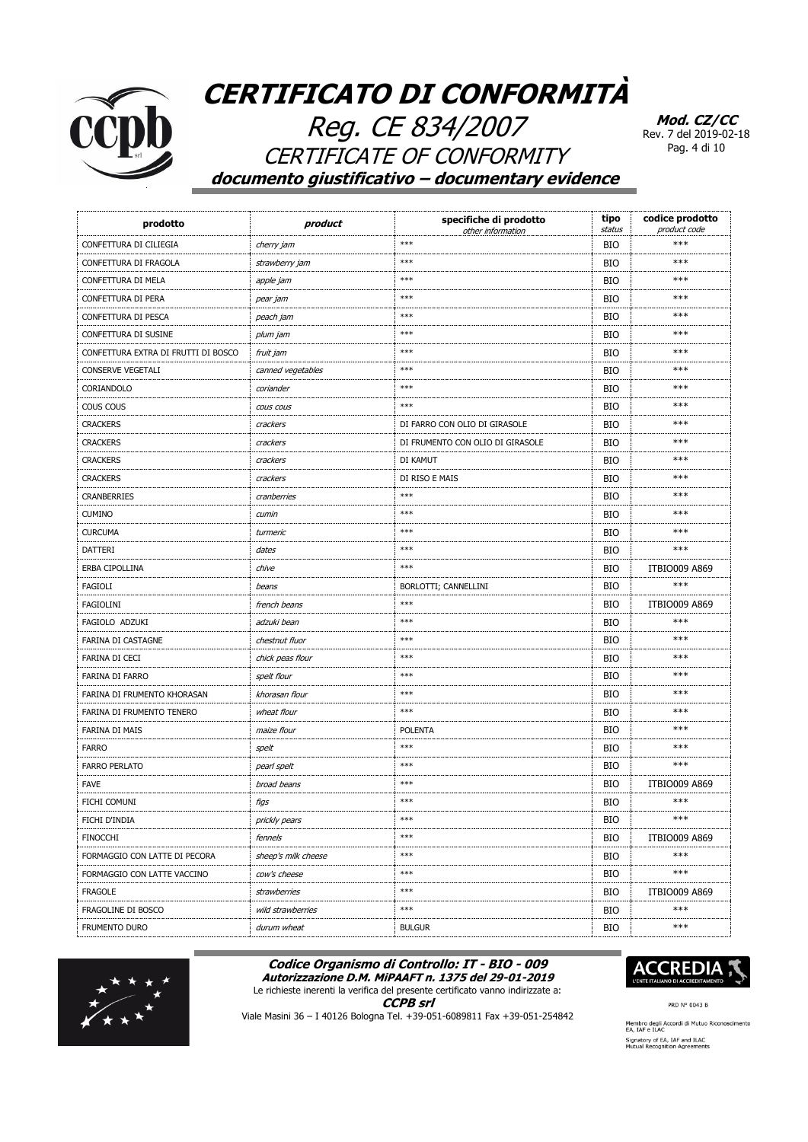

Reg. CE 834/2007 **CERTIFICATE OF CONFORMITY** documento giustificativo - documentary evidence

Mod. CZ/CC Rev. 7 del 2019-02-18 Pag. 4 di 10

| prodotto                            | product             | specifiche di prodotto<br>other information | tipo<br>status | codice prodotto<br>product code |
|-------------------------------------|---------------------|---------------------------------------------|----------------|---------------------------------|
| CONFETTURA DI CILIEGIA              | cherry jam          | $***$                                       | <b>BIO</b>     | $***$                           |
| CONFETTURA DI FRAGOLA               | strawberry jam      | $***$                                       | <b>BIO</b>     | ***                             |
| CONFETTURA DI MELA                  | apple jam           | $***$                                       | <b>BIO</b>     | ***                             |
| CONFETTURA DI PERA                  | pear jam            | $***$                                       | <b>BIO</b>     | ***                             |
| CONFETTURA DI PESCA                 | peach jam           | $***$                                       | <b>BIO</b>     | ***                             |
| CONFETTURA DI SUSINE                | plum jam            | $***$                                       | <b>BIO</b>     | ***                             |
| CONFETTURA EXTRA DI FRUTTI DI BOSCO | fruit jam           | $***$                                       | <b>BIO</b>     | $***$                           |
| CONSERVE VEGETALI                   | canned vegetables   | $***$                                       | <b>BIO</b>     | ***                             |
| CORIANDOLO                          | coriander           | $***$                                       | <b>BIO</b>     | $***$                           |
| COUS COUS                           | COUS COUS           | $***$                                       | <b>BIO</b>     | ***                             |
| <b>CRACKERS</b>                     | crackers            | DI FARRO CON OLIO DI GIRASOLE               | <b>BIO</b>     | ***                             |
| <b>CRACKERS</b>                     | crackers            | DI FRUMENTO CON OLIO DI GIRASOLE            | <b>BIO</b>     | ***                             |
| <b>CRACKERS</b>                     | crackers            | DI KAMUT                                    | <b>BIO</b>     | $***$                           |
| <b>CRACKERS</b>                     | crackers            | DI RISO E MAIS                              | <b>BIO</b>     | ***                             |
| <b>CRANBERRIES</b>                  | cranberries         | $***$                                       | <b>BIO</b>     | ***                             |
| <b>CUMINO</b>                       | cumin               | $***$                                       | <b>BIO</b>     | ***                             |
| <b>CURCUMA</b>                      | turmeric            | ***                                         | <b>BIO</b>     | $***$                           |
| <b>DATTERI</b>                      | dates               | $***$                                       | <b>BIO</b>     | ***                             |
| ERBA CIPOLLINA                      | chive               | $***$                                       | <b>BIO</b>     | <b>ITBIO009 A869</b>            |
| <b>FAGIOLI</b>                      | beans               | BORLOTTI; CANNELLINI                        | <b>BIO</b>     | ***                             |
| <b>FAGIOLINI</b>                    | french beans        | $***$                                       | <b>BIO</b>     | <b>ITBIO009 A869</b>            |
| FAGIOLO ADZUKI                      | adzuki bean         | $***$                                       | <b>BIO</b>     | ***                             |
| FARINA DI CASTAGNE                  | chestnut fluor      | $***$                                       | <b>BIO</b>     | ***                             |
| <b>FARINA DI CECI</b>               | chick peas flour    | ***                                         | <b>BIO</b>     | ***                             |
| FARINA DI FARRO                     | spelt flour         | $***$                                       | <b>BIO</b>     | $***$                           |
| FARINA DI FRUMENTO KHORASAN         | khorasan flour      | $***$                                       | <b>BIO</b>     | $***$                           |
| FARINA DI FRUMENTO TENERO           | wheat flour         | $***$                                       | <b>BIO</b>     | $***$                           |
| <b>FARINA DI MAIS</b>               | maize flour         | <b>POLENTA</b>                              | <b>BIO</b>     | ***                             |
| <b>FARRO</b>                        | spelt               | $***$                                       | <b>BIO</b>     | ***                             |
| <b>FARRO PERLATO</b>                | pearl spelt         | $***$                                       | <b>BIO</b>     | ***                             |
| <b>FAVE</b>                         | broad beans         | $***$                                       | <b>BIO</b>     | <b>ITBIO009 A869</b>            |
| FICHI COMUNI                        | figs                | $***$                                       | <b>BIO</b>     | ***                             |
| FICHI D'INDIA                       | prickly pears       | $***$                                       | BIO            | $***$                           |
| <b>FINOCCHI</b>                     | fennels             | $***$                                       | <b>BIO</b>     | <b>ITBIO009 A869</b>            |
| FORMAGGIO CON LATTE DI PECORA       | sheep's milk cheese | $***$                                       | <b>BIO</b>     | ***                             |
| FORMAGGIO CON LATTE VACCINO         | cow's cheese        | $***$                                       | <b>BIO</b>     | $***$                           |
| <b>FRAGOLE</b>                      | strawberries        | $***$                                       | BIO            | <b>ITBIO009 A869</b>            |
| FRAGOLINE DI BOSCO                  | wild strawberries   | $***$                                       | BIO            | $***$                           |
| FRUMENTO DURO                       | durum wheat         | <b>BULGUR</b>                               | BIO            | ***                             |

#### Codice Organismo di Controllo: IT - BIO - 009 Autorizzazione D.M. MiPAAFT n. 1375 del 29-01-2019



**CCPB** srl



Viale Masini 36 - I 40126 Bologna Tel. +39-051-6089811 Fax +39-051-254842



PRD N° 0043 B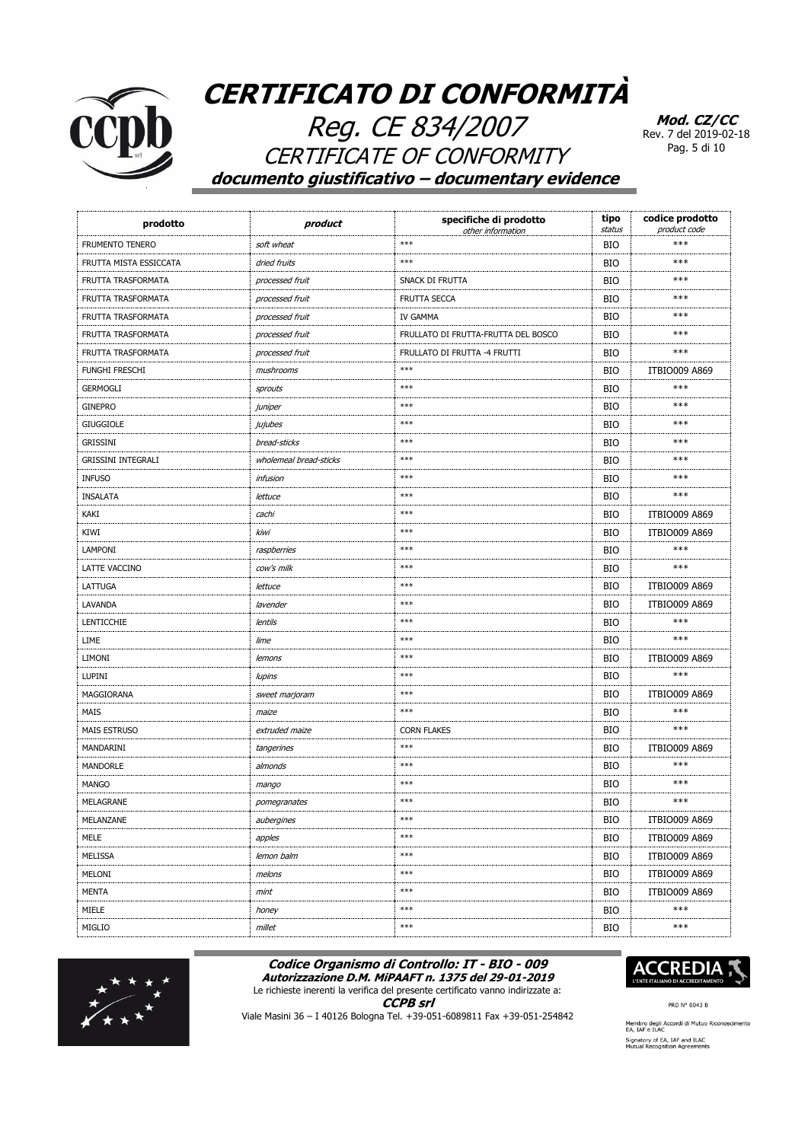

Reg. CE 834/2007 **CERTIFICATE OF CONFORMITY** documento giustificativo - documentary evidence

Mod. CZ/CC Rev. 7 del 2019-02-18 Pag. 5 di 10

| prodotto                  | product                | specifiche di prodotto<br>other information | tipo<br>status | codice prodotto<br>product code |
|---------------------------|------------------------|---------------------------------------------|----------------|---------------------------------|
| <b>FRUMENTO TENERO</b>    | soft wheat             | $***$                                       | <b>BIO</b>     | $***$                           |
| FRUTTA MISTA ESSICCATA    | dried fruits           | $***$                                       | <b>BIO</b>     | ***                             |
| FRUTTA TRASFORMATA        | processed fruit        | SNACK DI FRUTTA                             | <b>BIO</b>     | ***                             |
| FRUTTA TRASFORMATA        | processed fruit        | FRUTTA SECCA                                | <b>BIO</b>     | ***                             |
| FRUTTA TRASFORMATA        | processed fruit        | IV GAMMA                                    | <b>BIO</b>     | ***                             |
| FRUTTA TRASFORMATA        | processed fruit        | FRULLATO DI FRUTTA-FRUTTA DEL BOSCO         | <b>BIO</b>     | ***                             |
| FRUTTA TRASFORMATA        | processed fruit        | FRULLATO DI FRUTTA -4 FRUTTI                | <b>BIO</b>     | ***                             |
| <b>FUNGHI FRESCHI</b>     | mushrooms              | $***$                                       | <b>BIO</b>     | <b>ITBIO009 A869</b>            |
| <b>GERMOGLI</b>           | sprouts                | $***$                                       | <b>BIO</b>     | ***                             |
| <b>GINEPRO</b>            | juniper                | $***$                                       | <b>BIO</b>     | ***                             |
| <b>GIUGGIOLE</b>          | jujubes                | ***                                         | <b>BIO</b>     | ***                             |
| GRISSINI                  | bread-sticks           | ***                                         | <b>BIO</b>     | ***                             |
| <b>GRISSINI INTEGRALI</b> | wholemeal bread-sticks | $***$                                       | <b>BIO</b>     | ***                             |
| <b>INFUSO</b>             | <i>infusion</i>        | $***$                                       | <b>BIO</b>     | ***                             |
| INSALATA                  | lettuce                | $***$                                       | <b>BIO</b>     | ***                             |
| KAKI                      | cachi                  | $***$                                       | <b>BIO</b>     | <b>ITBIO009 A869</b>            |
| KIWI                      | kiwi                   | ***                                         | <b>BIO</b>     | <b>ITBIO009 A869</b>            |
| LAMPONI                   | raspberries            | $***$                                       | <b>BIO</b>     | $***$                           |
| LATTE VACCINO             | cow's milk             | $***$                                       | <b>BIO</b>     | ***                             |
| LATTUGA                   | lettuce                | $***$                                       | <b>BIO</b>     | <b>ITBIO009 A869</b>            |
| LAVANDA                   | lavender               | $***$                                       | <b>BIO</b>     | <b>ITBIO009 A869</b>            |
| LENTICCHIE                | lentils                | ***                                         | <b>BIO</b>     | ***                             |
| LIME                      | lime                   | $***$                                       | <b>BIO</b>     | ***                             |
| LIMONI                    | lemons                 | ***                                         | <b>BIO</b>     | <b>ITBIO009 A869</b>            |
| <b>LUPINI</b>             | lupins                 | $***$                                       | <b>BIO</b>     | ***                             |
| MAGGIORANA                | sweet marjoram         | $***$                                       | <b>BIO</b>     | <b>ITBIO009 A869</b>            |
| <b>MAIS</b>               | maize                  | $***$                                       | <b>BIO</b>     | ***                             |
| <b>MAIS ESTRUSO</b>       | extruded maize         | <b>CORN FLAKES</b>                          | <b>BIO</b>     | ***                             |
| MANDARINI                 | tangerines             | $***$                                       | <b>BIO</b>     | <b>ITBIO009 A869</b>            |
| <b>MANDORLE</b>           | almonds                | $***$                                       | <b>BIO</b>     | ***                             |
| <b>MANGO</b>              | mango                  | ***                                         | <b>BIO</b>     | ***                             |
| MELAGRANE                 | pomegranates           | $***$                                       | <b>BIO</b>     | ***                             |
| MELANZANE                 | aubergines             | $***$                                       | BIO            | <b>ITBIO009 A869</b>            |
| MELE                      | apples                 | $***$                                       | <b>BIO</b>     | <b>ITBIO009 A869</b>            |
| <b>MELISSA</b>            | lemon balm             | $***$                                       | <b>BIO</b>     | <b>ITBIO009 A869</b>            |
| MELONI                    | melons                 | $***$                                       | BIO            | <b>ITBIO009 A869</b>            |
| <b>MENTA</b>              | mint                   | $***$                                       | BIO            | <b>ITBIO009 A869</b>            |
| MIELE                     | honey                  | $***$                                       | <b>BIO</b>     | $***$                           |
| MIGLIO                    | millet                 | $***$                                       | BIO            | ***                             |

#### Codice Organismo di Controllo: IT - BIO - 009 Autorizzazione D.M. MiPAAFT n. 1375 del 29-01-2019





**CCPB** srl Viale Masini 36 - I 40126 Bologna Tel. +39-051-6089811 Fax +39-051-254842



PRD N° 0043 B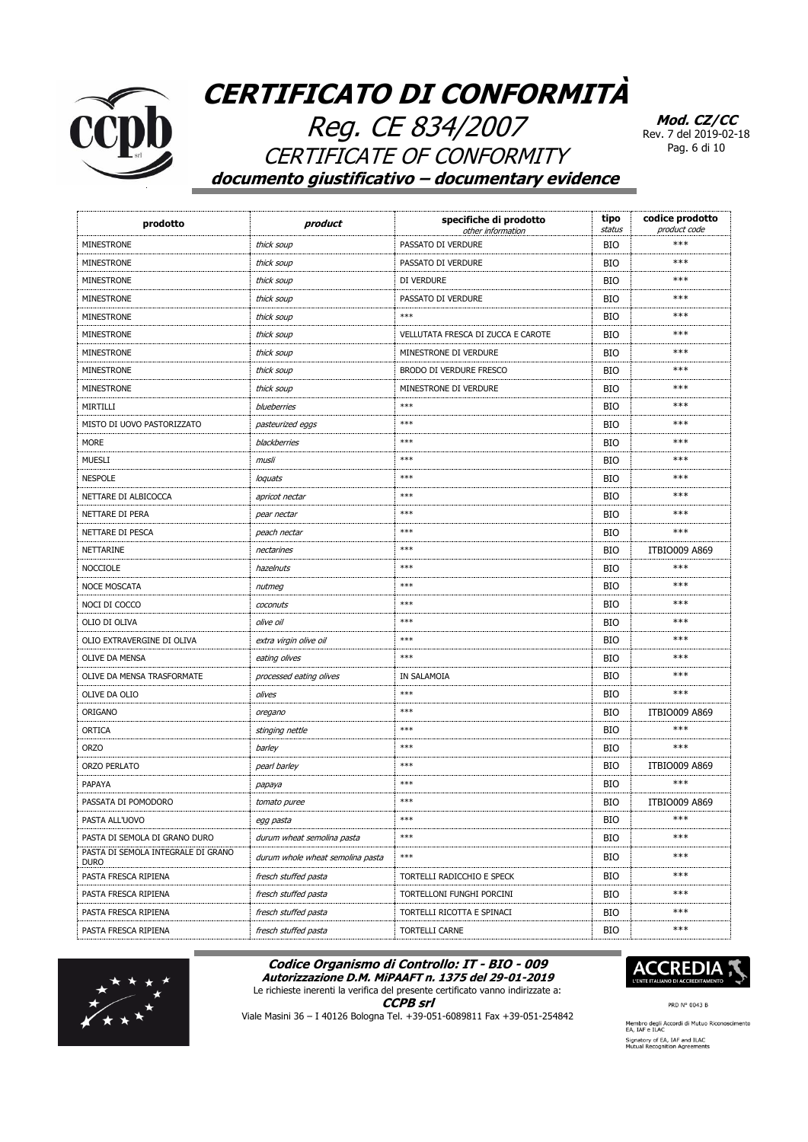

Reg. CE 834/2007 CERTIFICATE OF CONFORMITY **documento giustificativo – documentary evidence**

**Mod. CZ/CC** Rev. 7 del 2019-02-18 Pag. 6 di 10

| prodotto                                          | product                          | specifiche di prodotto<br>other information | tipo<br>status | codice prodotto<br>product code |
|---------------------------------------------------|----------------------------------|---------------------------------------------|----------------|---------------------------------|
| <b>MINESTRONE</b>                                 | thick soup                       | PASSATO DI VERDURE                          | <b>BIO</b>     | ***                             |
| <b>MINESTRONE</b>                                 | thick soup                       | PASSATO DI VERDURE                          | <b>BIO</b>     | ***                             |
| MINESTRONE                                        | thick soup                       | DI VERDURE                                  | <b>BIO</b>     | ***                             |
| MINESTRONE                                        | thick soup                       | PASSATO DI VERDURE                          | <b>BIO</b>     | ***                             |
| <b>MINESTRONE</b>                                 | thick soup                       | $***$                                       | <b>BIO</b>     | ***                             |
| <b>MINESTRONE</b>                                 | thick soup                       | VELLUTATA FRESCA DI ZUCCA E CAROTE          | <b>BIO</b>     | ***                             |
| MINESTRONE                                        | thick soup                       | MINESTRONE DI VERDURE                       | <b>BIO</b>     | ***                             |
| MINESTRONE                                        | thick soup                       | BRODO DI VERDURE FRESCO                     | <b>BIO</b>     | ***                             |
| MINESTRONE                                        | thick soup                       | MINESTRONE DI VERDURE                       | <b>BIO</b>     | ***                             |
| MIRTILLI                                          | blueberries                      | $***$                                       | <b>BIO</b>     | ***                             |
| MISTO DI UOVO PASTORIZZATO                        | pasteurized eggs                 | $***$                                       | <b>BIO</b>     | ***                             |
| <b>MORE</b>                                       | blackberries                     | $***$                                       | <b>BIO</b>     | ***                             |
| <b>MUESLI</b>                                     | musli                            | $***$                                       | <b>BIO</b>     | ***                             |
| <b>NESPOLE</b>                                    | loquats                          | $***$                                       | <b>BIO</b>     | ***                             |
| NETTARE DI ALBICOCCA                              | apricot nectar                   | $***$                                       | <b>BIO</b>     | ***                             |
| NETTARE DI PERA                                   | pear nectar                      | $***$                                       | <b>BIO</b>     | ***                             |
| NETTARE DI PESCA                                  | peach nectar                     | $***$                                       | <b>BIO</b>     | ***                             |
| NETTARINE                                         | nectarines                       | $***$                                       | <b>BIO</b>     | <b>ITBIO009 A869</b>            |
| <b>NOCCIOLE</b>                                   | hazelnuts                        | $***$                                       | <b>BIO</b>     | ***                             |
| <b>NOCE MOSCATA</b>                               | nutmeg                           | $***$                                       | <b>BIO</b>     | ***                             |
| NOCI DI COCCO                                     | coconuts                         | $***$                                       | <b>BIO</b>     | ***                             |
| OLIO DI OLIVA                                     | olive oil                        | $***$                                       | <b>BIO</b>     | ***                             |
| OLIO EXTRAVERGINE DI OLIVA                        | extra virgin olive oil           | $***$                                       | <b>BIO</b>     | ***                             |
| OLIVE DA MENSA                                    | eating olives                    | $***$                                       | <b>BIO</b>     | ***                             |
| OLIVE DA MENSA TRASFORMATE                        | processed eating olives          | IN SALAMOIA                                 | <b>BIO</b>     | ***                             |
| OLIVE DA OLIO                                     | olives                           | $***$                                       | <b>BIO</b>     | ***                             |
| ORIGANO                                           | oregano                          | $***$                                       | <b>BIO</b>     | <b>ITBIO009 A869</b>            |
| ORTICA                                            | stinging nettle                  | $***$                                       | <b>BIO</b>     | ***                             |
| <b>ORZO</b>                                       | barley                           | $***$                                       | <b>BIO</b>     | ***                             |
| ORZO PERLATO                                      | pearl barley                     | $***$                                       | <b>BIO</b>     | <b>ITBIO009 A869</b>            |
| PAPAYA                                            | papaya                           | $***$                                       | <b>BIO</b>     | ***                             |
| PASSATA DI POMODORO                               | tomato puree                     | $***$                                       | <b>BIO</b>     | <b>ITBIO009 A869</b>            |
| PASTA ALL'UOVO                                    | egg pasta                        | ***                                         | BIO            | ***                             |
| PASTA DI SEMOLA DI GRANO DURO                     | durum wheat semolina pasta       | $\ast\ast\ast$                              | BIO            | ***                             |
| PASTA DI SEMOLA INTEGRALE DI GRANO<br><b>DURO</b> | durum whole wheat semolina pasta | $\ast\ast\ast$                              | <b>BIO</b>     | $***$                           |
| PASTA FRESCA RIPIENA                              | fresch stuffed pasta             | TORTELLI RADICCHIO E SPECK                  | BIO            | ***                             |
| PASTA FRESCA RIPIENA                              | fresch stuffed pasta             | TORTELLONI FUNGHI PORCINI                   | BIO            | $***$                           |
| PASTA FRESCA RIPIENA                              | fresch stuffed pasta             | TORTELLI RICOTTA E SPINACI                  | <b>BIO</b>     | ***                             |
| PASTA FRESCA RIPIENA                              | fresch stuffed pasta             | TORTELLI CARNE                              | <b>BIO</b>     | $***$                           |

#### **Codice Organismo di Controllo: IT - BIO - 009 Autorizzazione D.M. MiPAAFT n. 1375 del 29-01-2019**

Le richieste inerenti la verifica del presente certificato vanno indirizzate a:

**CCPB srl**



Viale Masini 36 – I 40126 Bologna Tel. +39-051-6089811 Fax +39-051-254842



PRD N° 0043 B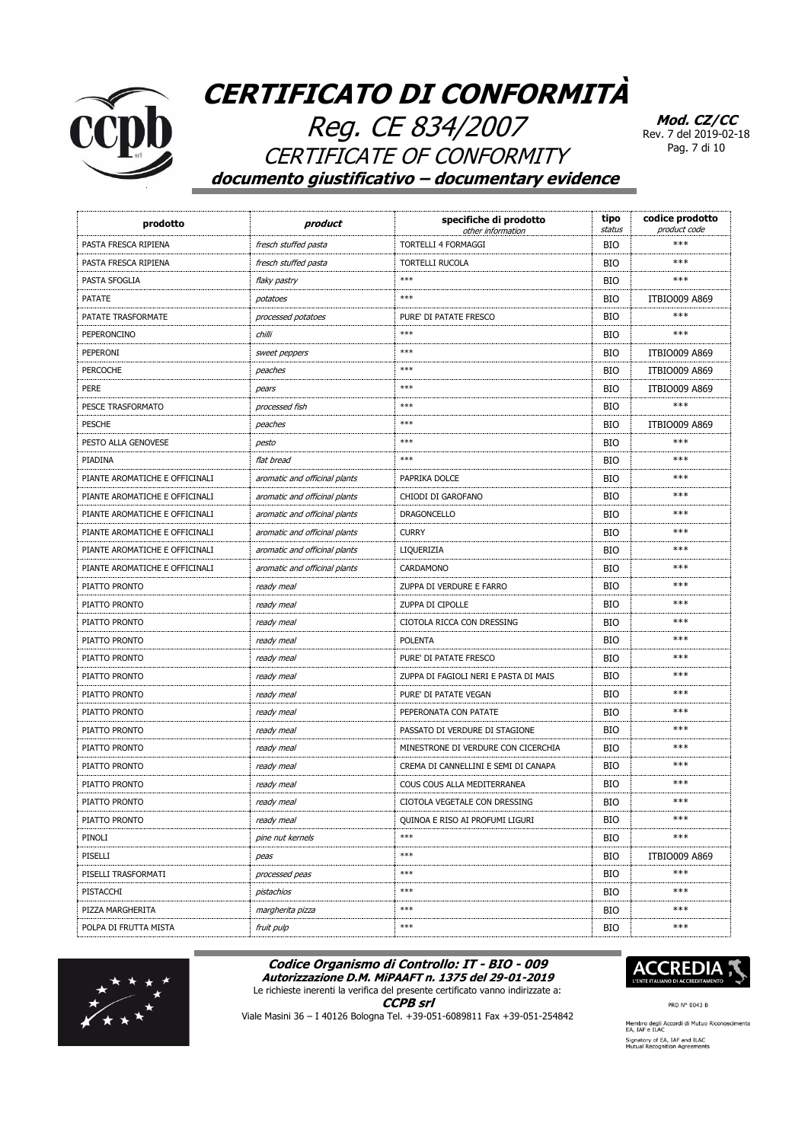

Reg. CE 834/2007 CERTIFICATE OF CONFORMITY **documento giustificativo – documentary evidence**

**Mod. CZ/CC** Rev. 7 del 2019-02-18 Pag. 7 di 10

| prodotto                       | product                       | specifiche di prodotto<br>other information | tipo<br>status | codice prodotto<br>product code |
|--------------------------------|-------------------------------|---------------------------------------------|----------------|---------------------------------|
| PASTA FRESCA RIPIENA           | fresch stuffed pasta          | <b>TORTELLI 4 FORMAGGI</b>                  | <b>BIO</b>     | $***$                           |
| PASTA FRESCA RIPIENA           | fresch stuffed pasta          | <b>TORTELLI RUCOLA</b>                      | <b>BIO</b>     | ***                             |
| PASTA SFOGLIA                  | flaky pastry                  | ***                                         | <b>BIO</b>     | ***                             |
| <b>PATATE</b>                  | potatoes                      | ***                                         | <b>BIO</b>     | <b>ITBIO009 A869</b>            |
| PATATE TRASFORMATE             | processed potatoes            | PURE' DI PATATE FRESCO                      | <b>BIO</b>     | ***                             |
| PEPERONCINO                    | chilli                        | $***$                                       | <b>BIO</b>     | ***                             |
| PEPERONI                       | sweet peppers                 | $***$                                       | <b>BIO</b>     | <b>ITBIO009 A869</b>            |
| <b>PERCOCHE</b>                | peaches                       | $***$                                       | <b>BIO</b>     | <b>ITBIO009 A869</b>            |
| <b>PERE</b>                    | pears                         | $***$                                       | <b>BIO</b>     | <b>ITBIO009 A869</b>            |
| PESCE TRASFORMATO              | processed fish                | ***                                         | <b>BIO</b>     | ***                             |
| <b>PESCHE</b>                  | peaches                       | $***$                                       | <b>BIO</b>     | <b>ITBIO009 A869</b>            |
| PESTO ALLA GENOVESE            | pesto                         | $***$                                       | <b>BIO</b>     | ***                             |
| PIADINA                        | flat bread                    | ***                                         | <b>BIO</b>     | ***                             |
| PIANTE AROMATICHE E OFFICINALI | aromatic and officinal plants | PAPRIKA DOLCE                               | <b>BIO</b>     | ***                             |
| PIANTE AROMATICHE E OFFICINALI | aromatic and officinal plants | CHIODI DI GAROFANO                          | <b>BIO</b>     | ***                             |
| PIANTE AROMATICHE E OFFICINALI | aromatic and officinal plants | DRAGONCELLO                                 | <b>BIO</b>     | ***                             |
| PIANTE AROMATICHE E OFFICINALI | aromatic and officinal plants | <b>CURRY</b>                                | <b>BIO</b>     | ***                             |
| PIANTE AROMATICHE E OFFICINALI | aromatic and officinal plants | LIQUERIZIA                                  | <b>BIO</b>     | ***                             |
| PIANTE AROMATICHE E OFFICINALI | aromatic and officinal plants | CARDAMONO                                   | <b>BIO</b>     | ***                             |
| PIATTO PRONTO                  | ready meal                    | ZUPPA DI VERDURE E FARRO                    | <b>BIO</b>     | ***                             |
| PIATTO PRONTO                  | ready meal                    | ZUPPA DI CIPOLLE                            | <b>BIO</b>     | ***                             |
| PIATTO PRONTO                  | ready meal                    | CIOTOLA RICCA CON DRESSING                  | <b>BIO</b>     | ***                             |
| PIATTO PRONTO                  | ready meal                    | <b>POLENTA</b>                              | <b>BIO</b>     | ***                             |
| PIATTO PRONTO                  | ready meal                    | PURE' DI PATATE FRESCO                      | <b>BIO</b>     | ***                             |
| PIATTO PRONTO                  | ready meal                    | ZUPPA DI FAGIOLI NERI E PASTA DI MAIS       | <b>BIO</b>     | ***                             |
| PIATTO PRONTO                  | ready meal                    | PURE' DI PATATE VEGAN                       | <b>BIO</b>     | ***                             |
| PIATTO PRONTO                  | ready meal                    | PEPERONATA CON PATATE                       | <b>BIO</b>     | ***                             |
| PIATTO PRONTO                  | ready meal                    | PASSATO DI VERDURE DI STAGIONE              | <b>BIO</b>     | ***                             |
| PIATTO PRONTO                  | ready meal                    | MINESTRONE DI VERDURE CON CICERCHIA         | <b>BIO</b>     | ***                             |
| PIATTO PRONTO                  | ready meal                    | CREMA DI CANNELLINI E SEMI DI CANAPA        | <b>BIO</b>     | ***                             |
| PIATTO PRONTO                  | ready meal                    | COUS COUS ALLA MEDITERRANEA                 | <b>BIO</b>     | ***                             |
| PIATTO PRONTO                  | ready meal                    | CIOTOLA VEGETALE CON DRESSING               | <b>BIO</b>     | ***                             |
| PIATTO PRONTO                  | ready meal                    | QUINOA E RISO AI PROFUMI LIGURI             | BIO            | ***                             |
| PINOLI                         | pine nut kernels              | $***$                                       | BIO            | ***                             |
| PISELLI                        | peas                          | $***$                                       | <b>BIO</b>     | <b>ITBIO009 A869</b>            |
| PISELLI TRASFORMATI            | processed peas                | $***$                                       | BIO            | ***                             |
| PISTACCHI                      | pistachios                    | $***$                                       | BIO            | $***$                           |
| PIZZA MARGHERITA               | margherita pizza              | $***$                                       | BIO            | ***                             |
| POLPA DI FRUTTA MISTA          | fruit pulp                    | $***$                                       | <b>BIO</b>     | $***$                           |

#### **Codice Organismo di Controllo: IT - BIO - 009 Autorizzazione D.M. MiPAAFT n. 1375 del 29-01-2019**



**CCPB srl**



PRD N° 0043 B

Viale Masini 36 – I 40126 Bologna Tel. +39-051-6089811 Fax +39-051-254842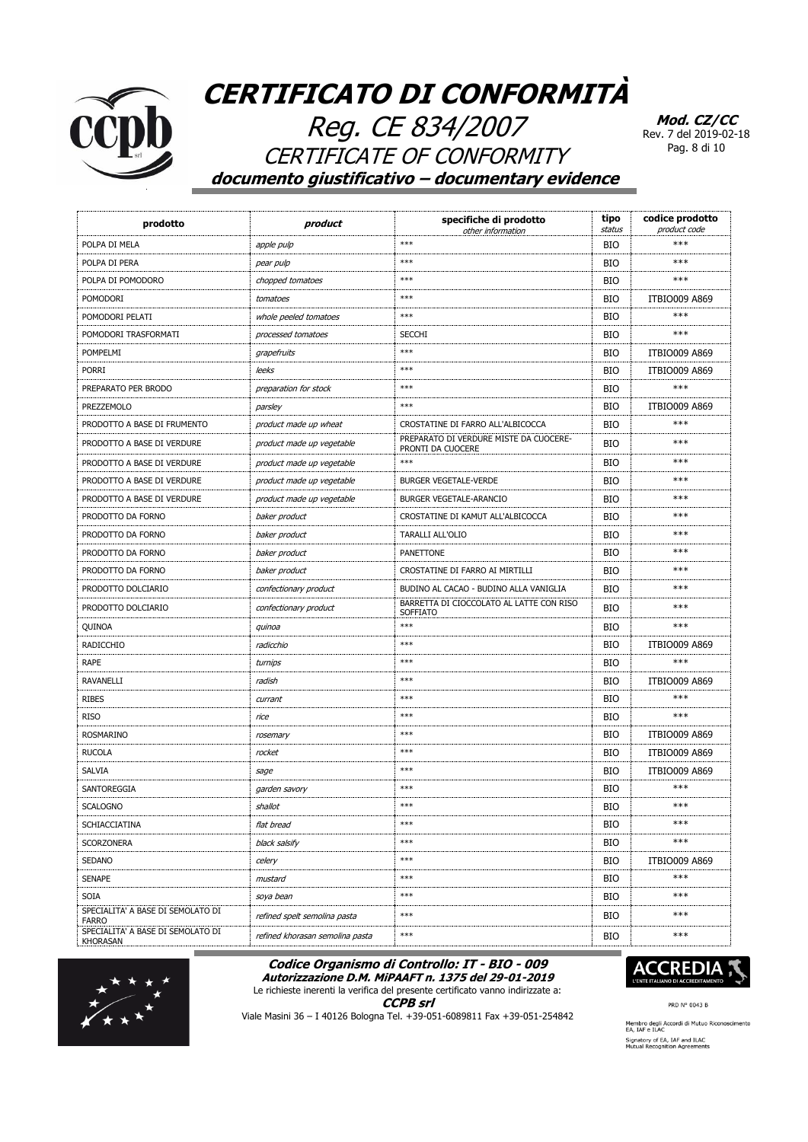

Reg. CE 834/2007 CERTIFICATE OF CONFORMITY **documento giustificativo – documentary evidence**

**Mod. CZ/CC** Rev. 7 del 2019-02-18 Pag. 8 di 10

| prodotto                                             | product                         | specifiche di prodotto<br>other information                 | tipo<br>status | codice prodotto<br>product code |
|------------------------------------------------------|---------------------------------|-------------------------------------------------------------|----------------|---------------------------------|
| POLPA DI MELA                                        | apple pulp                      | $***$                                                       | <b>BIO</b>     | $***$                           |
| POLPA DI PERA                                        | pear pulp                       | $***$                                                       | <b>BIO</b>     | ***                             |
| POLPA DI POMODORO                                    | chopped tomatoes                | ***                                                         | <b>BIO</b>     | ***                             |
| <b>POMODORI</b>                                      | tomatoes                        | $***$                                                       | <b>BIO</b>     | <b>ITBIO009 A869</b>            |
| POMODORI PELATI                                      | whole peeled tomatoes           | ***                                                         | <b>BIO</b>     | ***                             |
| POMODORI TRASFORMATI                                 | processed tomatoes              | <b>SECCHI</b>                                               | <b>BIO</b>     | ***                             |
| POMPELMI                                             | grapefruits                     | $***$                                                       | <b>BIO</b>     | <b>ITBIO009 A869</b>            |
| <b>PORRI</b>                                         | leeks                           | $***$                                                       | <b>BIO</b>     | <b>ITBIO009 A869</b>            |
| PREPARATO PER BRODO                                  | preparation for stock           | $***$                                                       | <b>BIO</b>     | ***                             |
| PREZZEMOLO                                           | parsley                         | $***$                                                       | <b>BIO</b>     | <b>ITBIO009 A869</b>            |
| PRODOTTO A BASE DI FRUMENTO                          | product made up wheat           | CROSTATINE DI FARRO ALL'ALBICOCCA                           | <b>BIO</b>     | ***                             |
| PRODOTTO A BASE DI VERDURE                           | product made up vegetable       | PREPARATO DI VERDURE MISTE DA CUOCERE-<br>PRONTI DA CUOCERE | <b>BIO</b>     | ***                             |
| PRODOTTO A BASE DI VERDURE                           | product made up vegetable       | $***$                                                       | <b>BIO</b>     | ***                             |
| PRODOTTO A BASE DI VERDURE                           | product made up vegetable       | <b>BURGER VEGETALE-VERDE</b>                                | <b>BIO</b>     | ***                             |
| PRODOTTO A BASE DI VERDURE                           | product made up vegetable       | BURGER VEGETALE-ARANCIO                                     | <b>BIO</b>     | ***                             |
| PRODOTTO DA FORNO                                    | baker product                   | CROSTATINE DI KAMUT ALL'ALBICOCCA                           | <b>BIO</b>     | ***                             |
| PRODOTTO DA FORNO                                    | baker product                   | <b>TARALLI ALL'OLIO</b>                                     | <b>BIO</b>     | ***                             |
| PRODOTTO DA FORNO                                    | baker product                   | <b>PANETTONE</b>                                            | <b>BIO</b>     | ***                             |
| PRODOTTO DA FORNO                                    | baker product                   | CROSTATINE DI FARRO AI MIRTILLI                             | <b>BIO</b>     | ***                             |
| PRODOTTO DOLCIARIO                                   | confectionary product           | BUDINO AL CACAO - BUDINO ALLA VANIGLIA                      | <b>BIO</b>     | ***                             |
| PRODOTTO DOLCIARIO                                   | confectionary product           | BARRETTA DI CIOCCOLATO AL LATTE CON RISO<br>SOFFIATO        | <b>BIO</b>     | ***                             |
| QUINOA                                               | quinoa                          | $***$                                                       | <b>BIO</b>     | ***                             |
| RADICCHIO                                            | radicchio                       | $***$                                                       | <b>BIO</b>     | <b>ITBIO009 A869</b>            |
| <b>RAPE</b>                                          | turnips                         | $***$                                                       | <b>BIO</b>     | ***                             |
| <b>RAVANELLI</b>                                     | radish                          | $***$                                                       | <b>BIO</b>     | <b>ITBIO009 A869</b>            |
| <b>RIBES</b>                                         | currant                         | ***                                                         | <b>BIO</b>     | $***$                           |
| <b>RISO</b>                                          | rice                            | $***$                                                       | <b>BIO</b>     | ***                             |
| <b>ROSMARINO</b>                                     | rosemary                        | $***$                                                       | <b>BIO</b>     | <b>ITBIO009 A869</b>            |
| <b>RUCOLA</b>                                        | rocket                          | $***$                                                       | <b>BIO</b>     | <b>ITBIO009 A869</b>            |
| <b>SALVIA</b>                                        | sage                            | $***$                                                       | <b>BIO</b>     | <b>ITBIO009 A869</b>            |
| SANTOREGGIA                                          | garden savory                   | ***                                                         | <b>BIO</b>     | ***                             |
| <b>SCALOGNO</b>                                      | shallot                         | $***$                                                       | <b>BIO</b>     | ***                             |
| SCHIACCIATINA                                        | flat bread                      | $***$                                                       | <b>BIO</b>     | $***$                           |
| SCORZONERA                                           | black salsify                   | $***$                                                       | BIO            | ***                             |
| <b>SEDANO</b>                                        | celery                          | $***$                                                       | <b>BIO</b>     | <b>ITBIO009 A869</b>            |
| <b>SENAPE</b>                                        | mustard                         | $***$                                                       | <b>BIO</b>     | $***$                           |
| <b>SOIA</b>                                          | soya bean                       | $***$                                                       | <b>BIO</b>     | ***                             |
| SPECIALITA' A BASE DI SEMOLATO DI<br><b>FARRO</b>    | refined spelt semolina pasta    | $***$                                                       | BIO            | ***                             |
| SPECIALITA' A BASE DI SEMOLATO DI<br><b>KHORASAN</b> | refined khorasan semolina pasta | $***$                                                       | BIO            | ***                             |

#### **Codice Organismo di Controllo: IT - BIO - 009 Autorizzazione D.M. MiPAAFT n. 1375 del 29-01-2019**



**CCPB srl**



Viale Masini 36 – I 40126 Bologna Tel. +39-051-6089811 Fax +39-051-254842



PRD N° 0043 B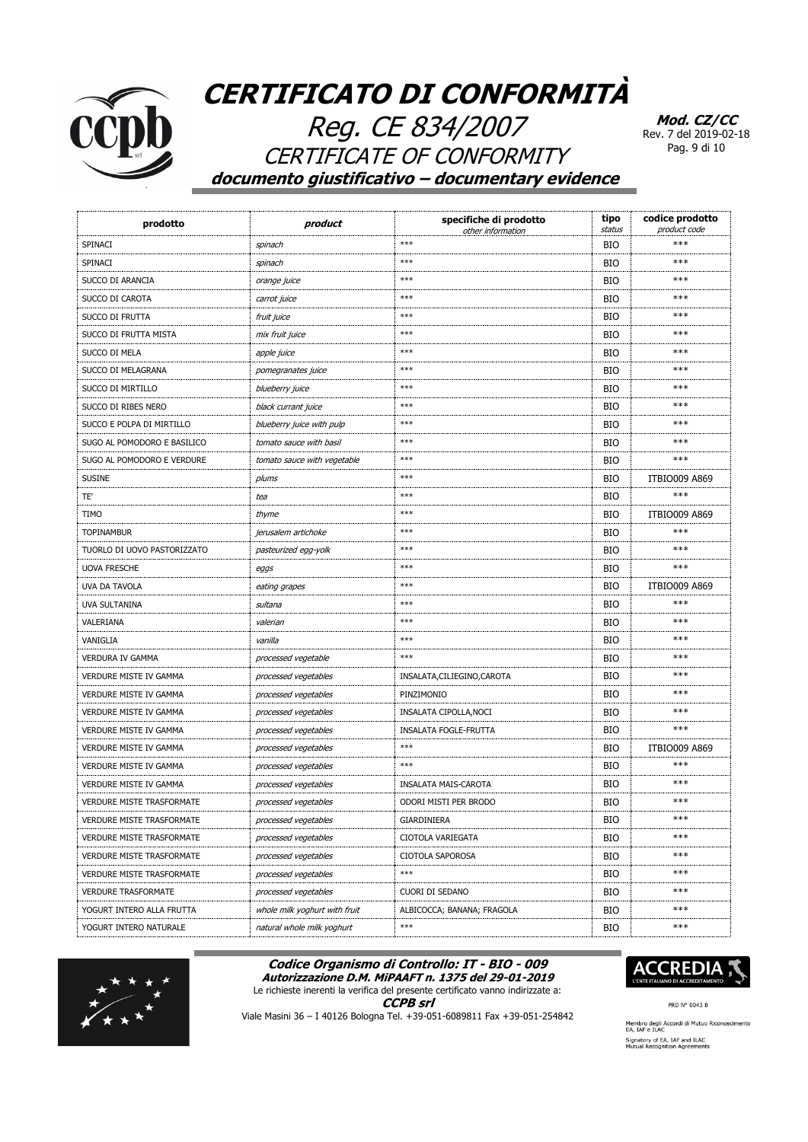

Reg. CE 834/2007 **CERTIFICATE OF CONFORMITY** documento giustificativo - documentary evidence

Mod. CZ/CC Rev. 7 del 2019-02-18 Pag. 9 di 10

| prodotto                         | product                       | specifiche di prodotto<br>other information | tipo<br>status | codice prodotto<br>product code |
|----------------------------------|-------------------------------|---------------------------------------------|----------------|---------------------------------|
| SPINACI                          | spinach                       | $***$                                       | <b>BIO</b>     | ***                             |
| SPINACI                          | spinach                       | $***$                                       | <b>BIO</b>     | ***                             |
| SUCCO DI ARANCIA                 | orange juice                  | $***$                                       | <b>BIO</b>     | ***                             |
| SUCCO DI CAROTA                  | carrot juice                  | ***                                         | <b>BIO</b>     | ***                             |
| SUCCO DI FRUTTA                  | fruit juice                   | $***$                                       | <b>BIO</b>     | ***                             |
| SUCCO DI FRUTTA MISTA            | mix fruit juice               | $***$                                       | <b>BIO</b>     | ***                             |
| SUCCO DI MELA                    | apple juice                   | $***$                                       | <b>BIO</b>     | ***                             |
| SUCCO DI MELAGRANA               | pomegranates juice            | $***$                                       | <b>BIO</b>     | ***                             |
| SUCCO DI MIRTILLO                | blueberry juice               | $***$                                       | <b>BIO</b>     | $***$                           |
| SUCCO DI RIBES NERO              | black currant juice           | $***$                                       | <b>BIO</b>     | ***                             |
| SUCCO E POLPA DI MIRTILLO        | blueberry juice with pulp     | $***$                                       | <b>BIO</b>     | ***                             |
| SUGO AL POMODORO E BASILICO      | tomato sauce with basil       | ***                                         | <b>BIO</b>     | ***                             |
| SUGO AL POMODORO E VERDURE       | tomato sauce with vegetable   | $***$                                       | <b>BIO</b>     | ***                             |
| <b>SUSINE</b>                    | plums                         | ***                                         | <b>BIO</b>     | <b>ITBIO009 A869</b>            |
| TE'                              | tea                           | $***$                                       | <b>BIO</b>     | ***                             |
| <b>TIMO</b>                      | thyme                         | $***$                                       | <b>BIO</b>     | <b>ITBIO009 A869</b>            |
| <b>TOPINAMBUR</b>                | jerusalem artichoke           | $***$                                       | <b>BIO</b>     | ***                             |
| TUORLO DI UOVO PASTORIZZATO      | pasteurized egg-yolk          | $***$                                       | <b>BIO</b>     | ***                             |
| <b>UOVA FRESCHE</b>              | eggs                          | $***$                                       | <b>BIO</b>     | ***                             |
| <b>UVA DA TAVOLA</b>             | eating grapes                 | $***$                                       | <b>BIO</b>     | <b>ITBIO009 A869</b>            |
| UVA SULTANINA                    | sultana                       | $***$                                       | <b>BIO</b>     | ***                             |
| VALERIANA                        | valerian                      | $***$                                       | <b>BIO</b>     | ***                             |
| VANIGLIA                         | vanilla                       | $***$                                       | <b>BIO</b>     | ***                             |
| VERDURA IV GAMMA                 | processed vegetable           | $***$                                       | <b>BIO</b>     | ***                             |
| <b>VERDURE MISTE IV GAMMA</b>    | processed vegetables          | INSALATA, CILIEGINO, CAROTA                 | <b>BIO</b>     | ***                             |
| <b>VERDURE MISTE IV GAMMA</b>    | processed vegetables          | PINZIMONIO                                  | <b>BIO</b>     | ***                             |
| <b>VERDURE MISTE IV GAMMA</b>    | processed vegetables          | INSALATA CIPOLLA, NOCI                      | <b>BIO</b>     | ***                             |
| VERDURE MISTE IV GAMMA           | processed vegetables          | INSALATA FOGLE-FRUTTA                       | <b>BIO</b>     | ***                             |
| VERDURE MISTE IV GAMMA           | processed vegetables          | $***$                                       | <b>BIO</b>     | <b>ITBIO009 A869</b>            |
| VERDURE MISTE IV GAMMA           | processed vegetables          | $***$                                       | <b>BIO</b>     | ***                             |
| <b>VERDURE MISTE IV GAMMA</b>    | processed vegetables          | INSALATA MAIS-CAROTA                        | BIO            | ***                             |
| <b>VERDURE MISTE TRASFORMATE</b> | processed vegetables          | ODORI MISTI PER BRODO                       | <b>BIO</b>     | ***                             |
| VERDURE MISTE TRASFORMATE        | processed vegetables          | GIARDINIERA                                 | BIO            | $***$                           |
| VERDURE MISTE TRASFORMATE        | processed vegetables          | CIOTOLA VARIEGATA                           | <b>BIO</b>     | $***$                           |
| <b>VERDURE MISTE TRASFORMATE</b> | processed vegetables          | CIOTOLA SAPOROSA                            | BIO            | $***$                           |
| <b>VERDURE MISTE TRASFORMATE</b> | processed vegetables          | $***$                                       | BIO            | ***                             |
| <b>VERDURE TRASFORMATE</b>       | processed vegetables          | CUORI DI SEDANO                             | BIO            | $***$                           |
| YOGURT INTERO ALLA FRUTTA        | whole milk yoghurt with fruit | ALBICOCCA; BANANA; FRAGOLA                  | <b>BIO</b>     | $***$                           |
| YOGURT INTERO NATURALE           | natural whole milk yoghurt    | $***$                                       | <b>BIO</b>     | $***$                           |

#### Codice Organismo di Controllo: IT - BIO - 009 Autorizzazione D.M. MiPAAFT n. 1375 del 29-01-2019





**CCPB** srl



PRD N° 0043 B

Viale Masini 36 - I 40126 Bologna Tel. +39-051-6089811 Fax +39-051-254842